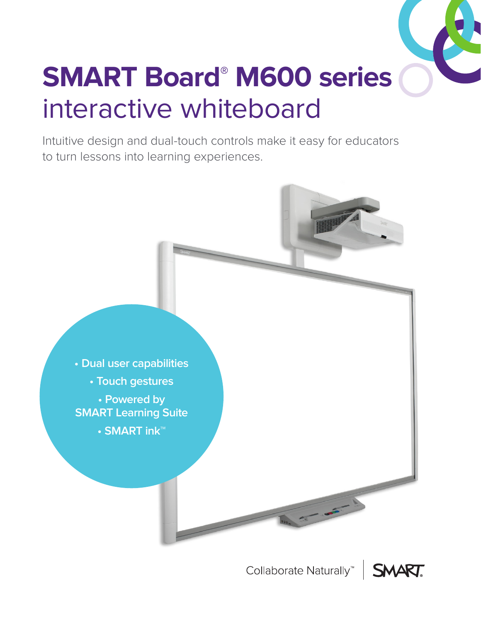

# **SMART Board® M600 series** interactive whiteboard

Intuitive design and dual-touch controls make it easy for educators to turn lessons into learning experiences.



Collaborate Naturally<sup>"</sup> | SMART.